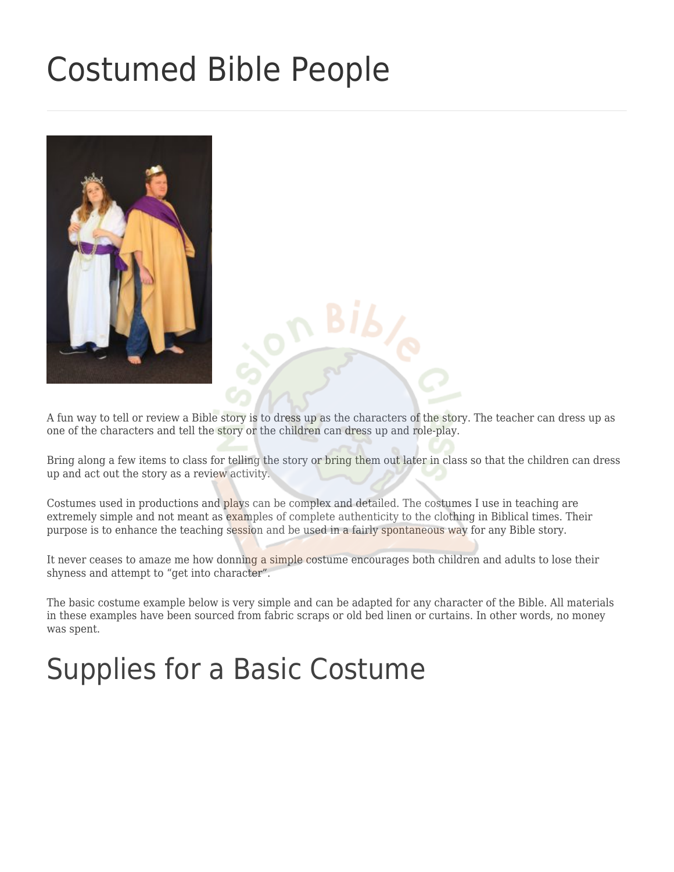# [Costumed Bible People](https://missionbibleclass.org/teaching-ideas/visual-aids/costumed-bible-people/)



A fun way to tell or review a Bible story is to dress up as the characters of the story. The teacher can dress up as one of the characters and tell the story or the children can dress up and role-play.

Bring along a few items to class for telling the story or bring them out later in class so that the children can dress up and act out the story as a review activity.

Costumes used in productions and plays can be complex and detailed. The costumes I use in teaching are extremely simple and not meant as examples of complete authenticity to the clothing in Biblical times. Their purpose is to enhance the teaching session and be used in a fairly spontaneous way for any Bible story.

It never ceases to amaze me how donning a simple costume encourages both children and adults to lose their shyness and attempt to "get into character".

The basic costume example below is very simple and can be adapted for any character of the Bible. All materials in these examples have been sourced from fabric scraps or old bed linen or curtains. In other words, no money was spent.

# Supplies for a Basic Costume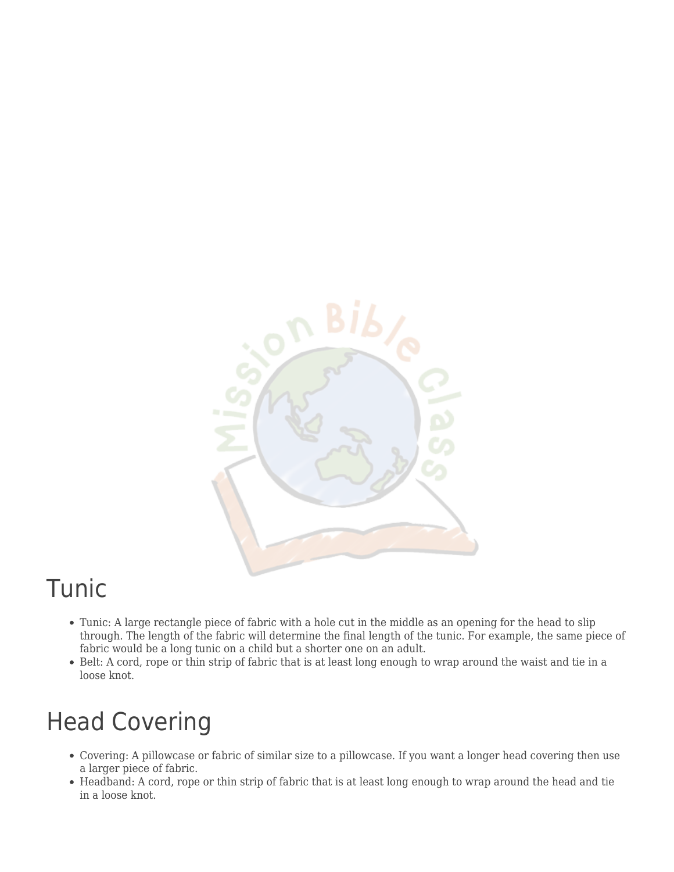

#### Tunic

- Tunic: A large rectangle piece of fabric with a hole cut in the middle as an opening for the head to slip through. The length of the fabric will determine the final length of the tunic. For example, the same piece of fabric would be a long tunic on a child but a shorter one on an adult.
- Belt: A cord, rope or thin strip of fabric that is at least long enough to wrap around the waist and tie in a loose knot.

### Head Covering

- Covering: A pillowcase or fabric of similar size to a pillowcase. If you want a longer head covering then use a larger piece of fabric.
- Headband: A cord, rope or thin strip of fabric that is at least long enough to wrap around the head and tie in a loose knot.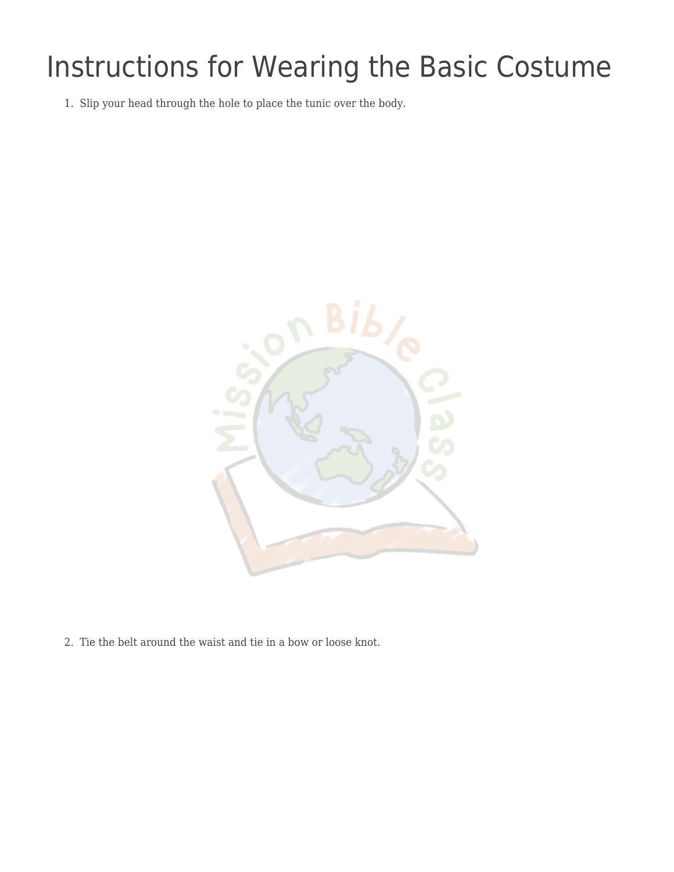# Instructions for Wearing the Basic Costume

1. Slip your head through the hole to place the tunic over the body.



2. Tie the belt around the waist and tie in a bow or loose knot.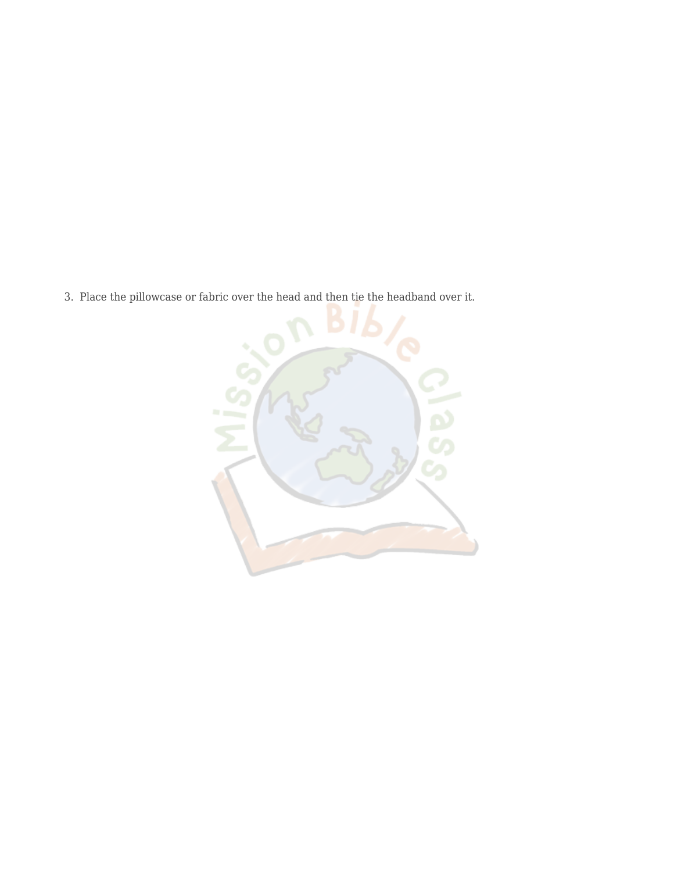3. Place the pillowcase or fabric over the head and then tie the headband over it.